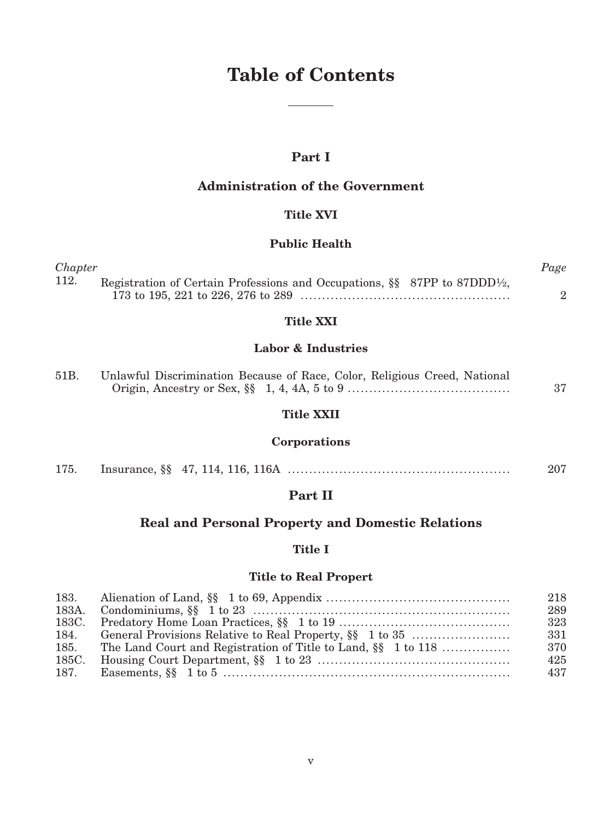# **Table of Contents**

# **Part I**

# **Administration of the Government**

### **Title XVI**

### **Public Health**

| Chapter |                                                                                                       | Page |
|---------|-------------------------------------------------------------------------------------------------------|------|
| 112.    | Registration of Certain Professions and Occupations, $\S$ 87PP to 87DDD <sup>1</sup> / <sub>2</sub> , |      |
|         |                                                                                                       |      |

### **Title XXI**

### **Labor & Industries**

| 51B. | Unlawful Discrimination Because of Race, Color, Religious Creed, National |  |
|------|---------------------------------------------------------------------------|--|
|      |                                                                           |  |

### **Title XXII**

# **Corporations**

| 175. |  |  | 207 |
|------|--|--|-----|
|------|--|--|-----|

# **Part II**

# **Real and Personal Property and Domestic Relations**

### **Title I**

### **Title to Real Propert**

|                                                                    | 218  |
|--------------------------------------------------------------------|------|
|                                                                    | 289  |
|                                                                    | 323  |
|                                                                    | -331 |
| 185. The Land Court and Registration of Title to Land, §§ 1 to 118 | 370  |
|                                                                    | 425  |
|                                                                    | 437  |